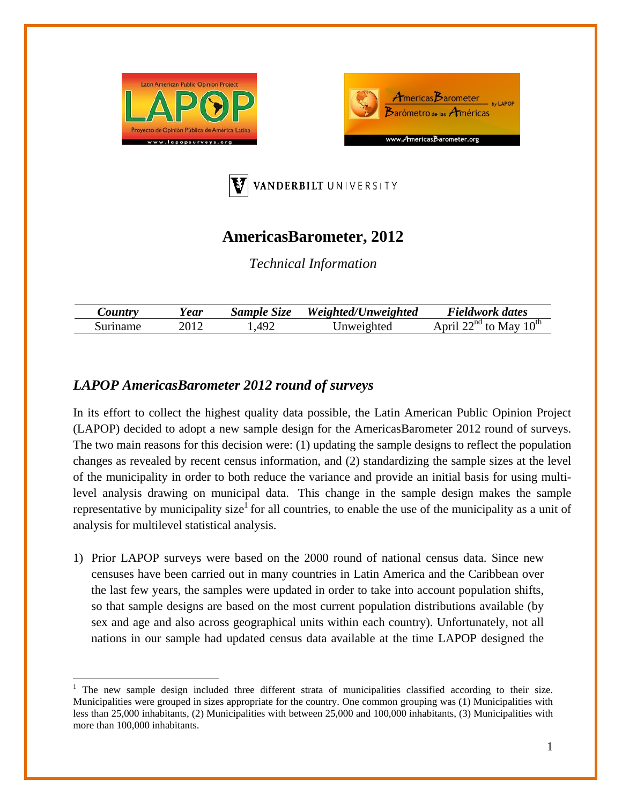





## **AmericasBarometer, 2012**

*Technical Information* 

| $\mathcal{L}$ ountry | ear)  | Sample Size | Weighted/Unweighted | Fieldwork dates                                |
|----------------------|-------|-------------|---------------------|------------------------------------------------|
| Suriname             | –201⊂ | $\Delta Q$  | Inweighted          | $10^{th}$<br>$\gamma$ nd<br>انتظ<br>$+$<br>Mav |

## *LAPOP AmericasBarometer 2012 round of surveys*

In its effort to collect the highest quality data possible, the Latin American Public Opinion Project (LAPOP) decided to adopt a new sample design for the AmericasBarometer 2012 round of surveys. The two main reasons for this decision were: (1) updating the sample designs to reflect the population changes as revealed by recent census information, and (2) standardizing the sample sizes at the level of the municipality in order to both reduce the variance and provide an initial basis for using multilevel analysis drawing on municipal data. This change in the sample design makes the sample representative by municipality size<sup>1</sup> for all countries, to enable the use of the municipality as a unit of analysis for multilevel statistical analysis.

1) Prior LAPOP surveys were based on the 2000 round of national census data. Since new censuses have been carried out in many countries in Latin America and the Caribbean over the last few years, the samples were updated in order to take into account population shifts, so that sample designs are based on the most current population distributions available (by sex and age and also across geographical units within each country). Unfortunately, not all nations in our sample had updated census data available at the time LAPOP designed the

<sup>1</sup> The new sample design included three different strata of municipalities classified according to their size. Municipalities were grouped in sizes appropriate for the country. One common grouping was (1) Municipalities with less than 25,000 inhabitants, (2) Municipalities with between 25,000 and 100,000 inhabitants, (3) Municipalities with more than 100,000 inhabitants.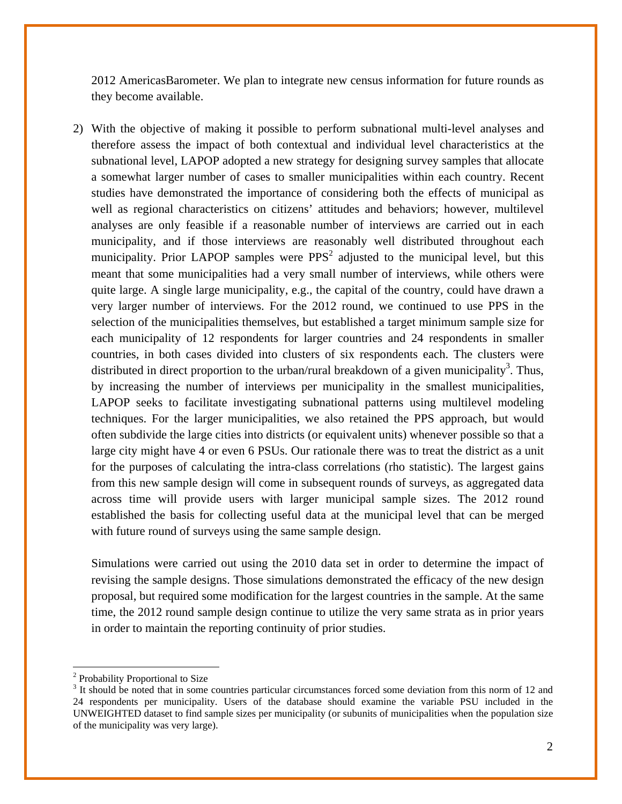2012 AmericasBarometer. We plan to integrate new census information for future rounds as they become available.

2) With the objective of making it possible to perform subnational multi-level analyses and therefore assess the impact of both contextual and individual level characteristics at the subnational level, LAPOP adopted a new strategy for designing survey samples that allocate a somewhat larger number of cases to smaller municipalities within each country. Recent studies have demonstrated the importance of considering both the effects of municipal as well as regional characteristics on citizens' attitudes and behaviors; however, multilevel analyses are only feasible if a reasonable number of interviews are carried out in each municipality, and if those interviews are reasonably well distributed throughout each municipality. Prior LAPOP samples were  $PPS<sup>2</sup>$  adjusted to the municipal level, but this meant that some municipalities had a very small number of interviews, while others were quite large. A single large municipality, e.g., the capital of the country, could have drawn a very larger number of interviews. For the 2012 round, we continued to use PPS in the selection of the municipalities themselves, but established a target minimum sample size for each municipality of 12 respondents for larger countries and 24 respondents in smaller countries, in both cases divided into clusters of six respondents each. The clusters were distributed in direct proportion to the urban/rural breakdown of a given municipality<sup>3</sup>. Thus, by increasing the number of interviews per municipality in the smallest municipalities, LAPOP seeks to facilitate investigating subnational patterns using multilevel modeling techniques. For the larger municipalities, we also retained the PPS approach, but would often subdivide the large cities into districts (or equivalent units) whenever possible so that a large city might have 4 or even 6 PSUs. Our rationale there was to treat the district as a unit for the purposes of calculating the intra-class correlations (rho statistic). The largest gains from this new sample design will come in subsequent rounds of surveys, as aggregated data across time will provide users with larger municipal sample sizes. The 2012 round established the basis for collecting useful data at the municipal level that can be merged with future round of surveys using the same sample design.

Simulations were carried out using the 2010 data set in order to determine the impact of revising the sample designs. Those simulations demonstrated the efficacy of the new design proposal, but required some modification for the largest countries in the sample. At the same time, the 2012 round sample design continue to utilize the very same strata as in prior years in order to maintain the reporting continuity of prior studies.

<sup>&</sup>lt;sup>2</sup> Probability Proportional to Size

<sup>&</sup>lt;sup>3</sup> It should be noted that in some countries particular circumstances forced some deviation from this norm of 12 and 24 respondents per municipality. Users of the database should examine the variable PSU included in the UNWEIGHTED dataset to find sample sizes per municipality (or subunits of municipalities when the population size of the municipality was very large).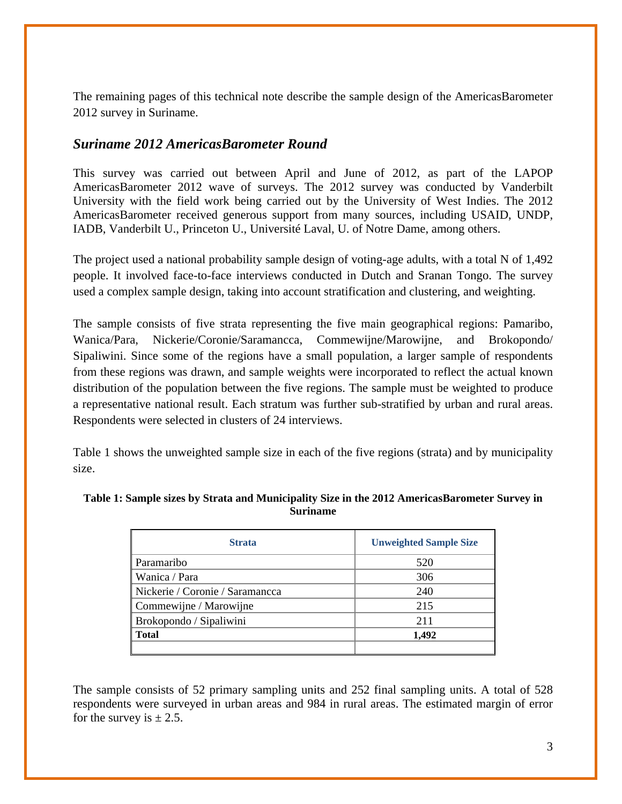The remaining pages of this technical note describe the sample design of the AmericasBarometer 2012 survey in Suriname.

## *Suriname 2012 AmericasBarometer Round*

This survey was carried out between April and June of 2012, as part of the LAPOP AmericasBarometer 2012 wave of surveys. The 2012 survey was conducted by Vanderbilt University with the field work being carried out by the University of West Indies. The 2012 AmericasBarometer received generous support from many sources, including USAID, UNDP, IADB, Vanderbilt U., Princeton U., Université Laval, U. of Notre Dame, among others.

The project used a national probability sample design of voting-age adults, with a total N of 1,492 people. It involved face-to-face interviews conducted in Dutch and Sranan Tongo. The survey used a complex sample design, taking into account stratification and clustering, and weighting.

The sample consists of five strata representing the five main geographical regions: Pamaribo, Wanica/Para, Nickerie/Coronie/Saramancca, Commewijne/Marowijne, and Brokopondo/ Sipaliwini. Since some of the regions have a small population, a larger sample of respondents from these regions was drawn, and sample weights were incorporated to reflect the actual known distribution of the population between the five regions. The sample must be weighted to produce a representative national result. Each stratum was further sub-stratified by urban and rural areas. Respondents were selected in clusters of 24 interviews.

Table 1 shows the unweighted sample size in each of the five regions (strata) and by municipality size.

| Table 1: Sample sizes by Strata and Municipality Size in the 2012 AmericasBarometer Survey in |  |
|-----------------------------------------------------------------------------------------------|--|
| <b>Suriname</b>                                                                               |  |

| <b>Strata</b>                   | <b>Unweighted Sample Size</b> |
|---------------------------------|-------------------------------|
| Paramaribo                      | 520                           |
| Wanica / Para                   | 306                           |
| Nickerie / Coronie / Saramancca | 240                           |
| Commewijne / Marowijne          | 215                           |
| Brokopondo / Sipaliwini         | 211                           |
| <b>Total</b>                    | 1.492                         |
|                                 |                               |

The sample consists of 52 primary sampling units and 252 final sampling units. A total of 528 respondents were surveyed in urban areas and 984 in rural areas. The estimated margin of error for the survey is  $\pm 2.5$ .